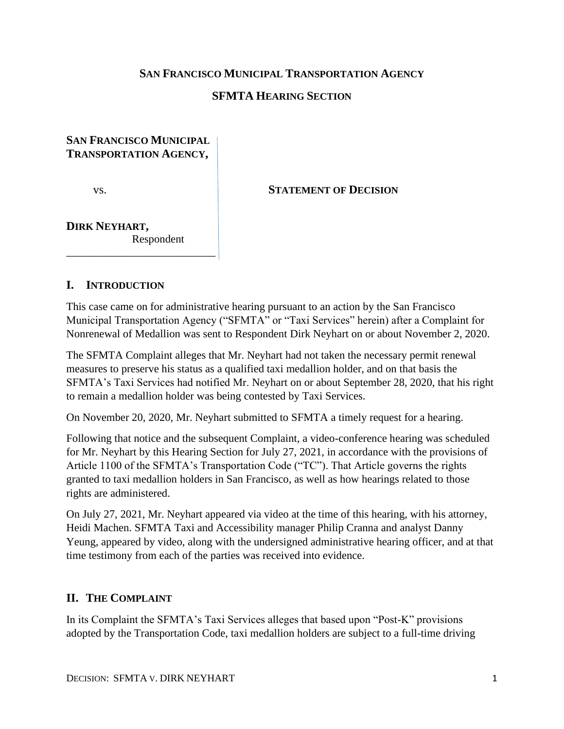### **SAN FRANCISCO MUNICIPAL TRANSPORTATION AGENCY**

### **SFMTA HEARING SECTION**

## **SAN FRANCISCO MUNICIPAL TRANSPORTATION AGENCY,**

\_\_\_\_\_\_\_\_\_\_\_\_\_\_\_\_\_\_\_\_\_\_\_\_\_\_\_

vs. STATEMENT OF **DECISION** 

#### **DIRK NEYHART,** Respondent

#### **I. INTRODUCTION**

This case came on for administrative hearing pursuant to an action by the San Francisco Municipal Transportation Agency ("SFMTA" or "Taxi Services" herein) after a Complaint for Nonrenewal of Medallion was sent to Respondent Dirk Neyhart on or about November 2, 2020.

The SFMTA Complaint alleges that Mr. Neyhart had not taken the necessary permit renewal measures to preserve his status as a qualified taxi medallion holder, and on that basis the SFMTA's Taxi Services had notified Mr. Neyhart on or about September 28, 2020, that his right to remain a medallion holder was being contested by Taxi Services.

On November 20, 2020, Mr. Neyhart submitted to SFMTA a timely request for a hearing.

Following that notice and the subsequent Complaint, a video-conference hearing was scheduled for Mr. Neyhart by this Hearing Section for July 27, 2021, in accordance with the provisions of Article 1100 of the SFMTA's Transportation Code ("TC"). That Article governs the rights granted to taxi medallion holders in San Francisco, as well as how hearings related to those rights are administered.

On July 27, 2021, Mr. Neyhart appeared via video at the time of this hearing, with his attorney, Heidi Machen. SFMTA Taxi and Accessibility manager Philip Cranna and analyst Danny Yeung, appeared by video, along with the undersigned administrative hearing officer, and at that time testimony from each of the parties was received into evidence.

### **II. THE COMPLAINT**

In its Complaint the SFMTA's Taxi Services alleges that based upon "Post-K" provisions adopted by the Transportation Code, taxi medallion holders are subject to a full-time driving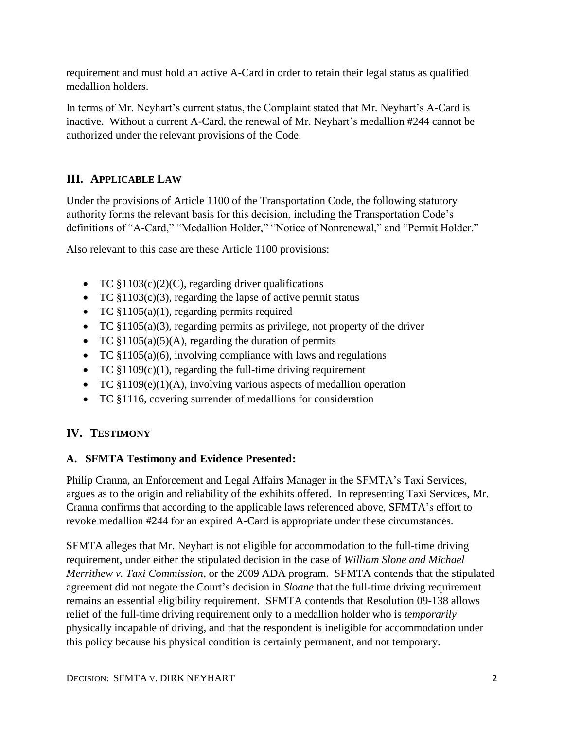requirement and must hold an active A-Card in order to retain their legal status as qualified medallion holders.

In terms of Mr. Neyhart's current status, the Complaint stated that Mr. Neyhart's A-Card is inactive. Without a current A-Card, the renewal of Mr. Neyhart's medallion #244 cannot be authorized under the relevant provisions of the Code.

# **III. APPLICABLE LAW**

Under the provisions of Article 1100 of the Transportation Code, the following statutory authority forms the relevant basis for this decision, including the Transportation Code's definitions of "A-Card," "Medallion Holder," "Notice of Nonrenewal," and "Permit Holder."

Also relevant to this case are these Article 1100 provisions:

- TC  $$1103(c)(2)(C)$ , regarding driver qualifications
- TC §1103(c)(3), regarding the lapse of active permit status
- TC §1105(a)(1), regarding permits required
- TC §1105(a)(3), regarding permits as privilege, not property of the driver
- TC  $$1105(a)(5)(A)$ , regarding the duration of permits
- TC  $$1105(a)(6)$ , involving compliance with laws and regulations
- TC  $$1109(c)(1)$ , regarding the full-time driving requirement
- TC §1109(e)(1)(A), involving various aspects of medallion operation
- TC §1116, covering surrender of medallions for consideration

# **IV. TESTIMONY**

# **A. SFMTA Testimony and Evidence Presented:**

Philip Cranna, an Enforcement and Legal Affairs Manager in the SFMTA's Taxi Services, argues as to the origin and reliability of the exhibits offered. In representing Taxi Services, Mr. Cranna confirms that according to the applicable laws referenced above, SFMTA's effort to revoke medallion #244 for an expired A-Card is appropriate under these circumstances.

SFMTA alleges that Mr. Neyhart is not eligible for accommodation to the full-time driving requirement, under either the stipulated decision in the case of *William Slone and Michael Merrithew v. Taxi Commission,* or the 2009 ADA program. SFMTA contends that the stipulated agreement did not negate the Court's decision in *Sloane* that the full-time driving requirement remains an essential eligibility requirement. SFMTA contends that Resolution 09-138 allows relief of the full-time driving requirement only to a medallion holder who is *temporarily* physically incapable of driving, and that the respondent is ineligible for accommodation under this policy because his physical condition is certainly permanent, and not temporary.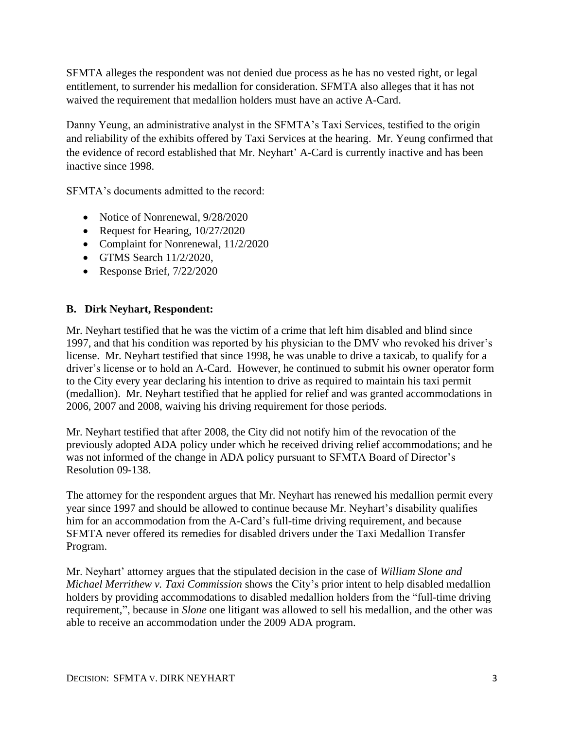SFMTA alleges the respondent was not denied due process as he has no vested right, or legal entitlement, to surrender his medallion for consideration. SFMTA also alleges that it has not waived the requirement that medallion holders must have an active A-Card.

Danny Yeung, an administrative analyst in the SFMTA's Taxi Services, testified to the origin and reliability of the exhibits offered by Taxi Services at the hearing. Mr. Yeung confirmed that the evidence of record established that Mr. Neyhart' A-Card is currently inactive and has been inactive since 1998.

SFMTA's documents admitted to the record:

- Notice of Nonrenewal,  $9/28/2020$
- Request for Hearing,  $10/27/2020$
- Complaint for Nonrenewal,  $11/2/2020$
- $\bullet$  GTMS Search 11/2/2020.
- Response Brief, 7/22/2020

### **B. Dirk Neyhart, Respondent:**

Mr. Neyhart testified that he was the victim of a crime that left him disabled and blind since 1997, and that his condition was reported by his physician to the DMV who revoked his driver's license. Mr. Neyhart testified that since 1998, he was unable to drive a taxicab, to qualify for a driver's license or to hold an A-Card. However, he continued to submit his owner operator form to the City every year declaring his intention to drive as required to maintain his taxi permit (medallion). Mr. Neyhart testified that he applied for relief and was granted accommodations in 2006, 2007 and 2008, waiving his driving requirement for those periods.

Mr. Neyhart testified that after 2008, the City did not notify him of the revocation of the previously adopted ADA policy under which he received driving relief accommodations; and he was not informed of the change in ADA policy pursuant to SFMTA Board of Director's Resolution 09-138.

The attorney for the respondent argues that Mr. Neyhart has renewed his medallion permit every year since 1997 and should be allowed to continue because Mr. Neyhart's disability qualifies him for an accommodation from the A-Card's full-time driving requirement, and because SFMTA never offered its remedies for disabled drivers under the Taxi Medallion Transfer Program.

Mr. Neyhart' attorney argues that the stipulated decision in the case of *William Slone and Michael Merrithew v. Taxi Commission* shows the City's prior intent to help disabled medallion holders by providing accommodations to disabled medallion holders from the "full-time driving requirement,", because in *Slone* one litigant was allowed to sell his medallion, and the other was able to receive an accommodation under the 2009 ADA program.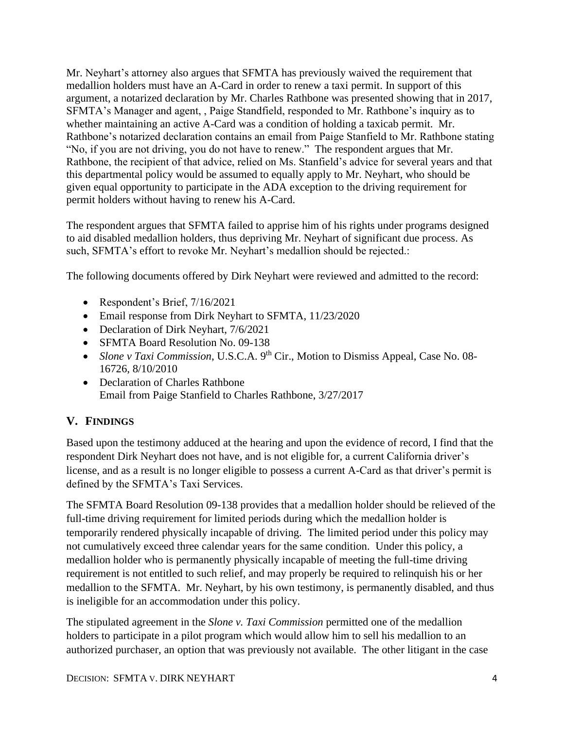Mr. Neyhart's attorney also argues that SFMTA has previously waived the requirement that medallion holders must have an A-Card in order to renew a taxi permit. In support of this argument, a notarized declaration by Mr. Charles Rathbone was presented showing that in 2017, SFMTA's Manager and agent, , Paige Standfield, responded to Mr. Rathbone's inquiry as to whether maintaining an active A-Card was a condition of holding a taxicab permit. Mr. Rathbone's notarized declaration contains an email from Paige Stanfield to Mr. Rathbone stating "No, if you are not driving, you do not have to renew." The respondent argues that Mr. Rathbone, the recipient of that advice, relied on Ms. Stanfield's advice for several years and that this departmental policy would be assumed to equally apply to Mr. Neyhart, who should be given equal opportunity to participate in the ADA exception to the driving requirement for permit holders without having to renew his A-Card.

The respondent argues that SFMTA failed to apprise him of his rights under programs designed to aid disabled medallion holders, thus depriving Mr. Neyhart of significant due process. As such, SFMTA's effort to revoke Mr. Neyhart's medallion should be rejected.:

The following documents offered by Dirk Neyhart were reviewed and admitted to the record:

- Respondent's Brief, 7/16/2021
- Email response from Dirk Neyhart to SFMTA, 11/23/2020
- Declaration of Dirk Neyhart, 7/6/2021
- SFMTA Board Resolution No. 09-138
- *Slone v Taxi Commission*, U.S.C.A. 9<sup>th</sup> Cir., Motion to Dismiss Appeal, Case No. 08-16726, 8/10/2010
- Declaration of Charles Rathbone Email from Paige Stanfield to Charles Rathbone, 3/27/2017

# **V. FINDINGS**

Based upon the testimony adduced at the hearing and upon the evidence of record, I find that the respondent Dirk Neyhart does not have, and is not eligible for, a current California driver's license, and as a result is no longer eligible to possess a current A-Card as that driver's permit is defined by the SFMTA's Taxi Services.

The SFMTA Board Resolution 09-138 provides that a medallion holder should be relieved of the full-time driving requirement for limited periods during which the medallion holder is temporarily rendered physically incapable of driving. The limited period under this policy may not cumulatively exceed three calendar years for the same condition. Under this policy, a medallion holder who is permanently physically incapable of meeting the full-time driving requirement is not entitled to such relief, and may properly be required to relinquish his or her medallion to the SFMTA. Mr. Neyhart, by his own testimony, is permanently disabled, and thus is ineligible for an accommodation under this policy.

The stipulated agreement in the *Slone v. Taxi Commission* permitted one of the medallion holders to participate in a pilot program which would allow him to sell his medallion to an authorized purchaser, an option that was previously not available. The other litigant in the case